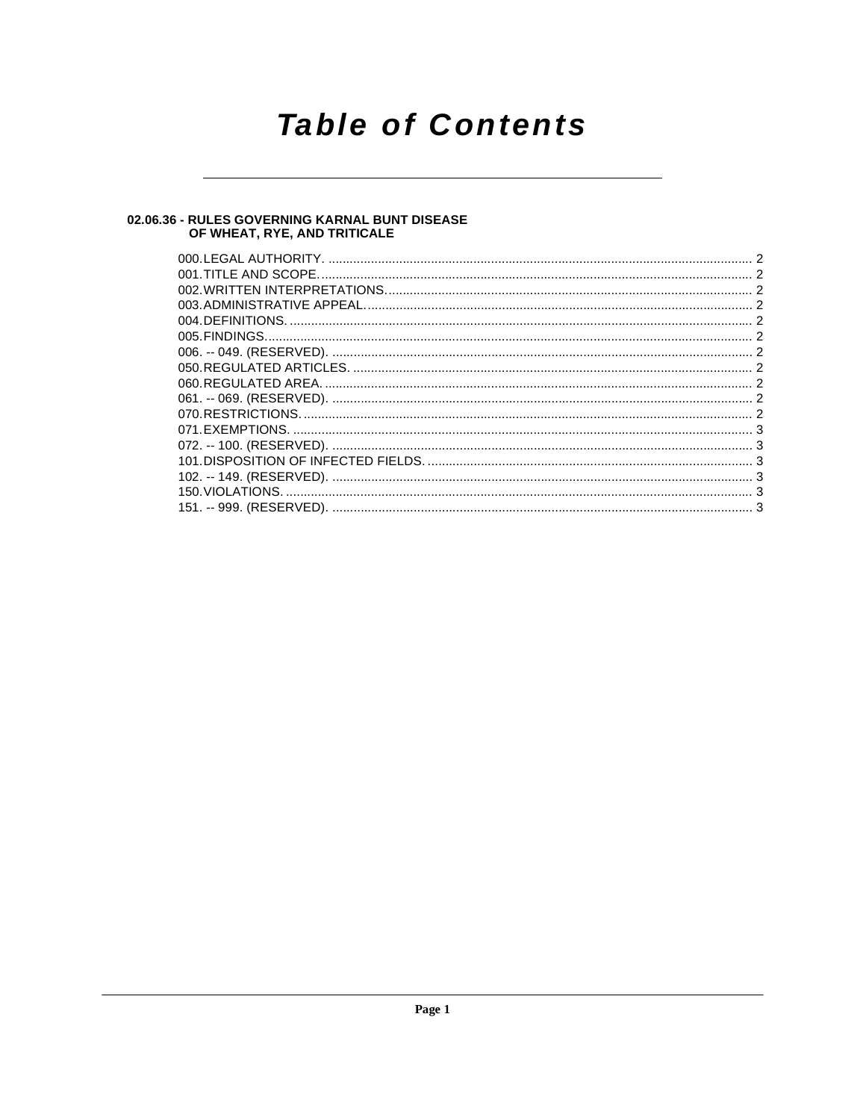## **Table of Contents**

### 02.06.36 - RULES GOVERNING KARNAL BUNT DISEASE<br>OF WHEAT, RYE, AND TRITICALE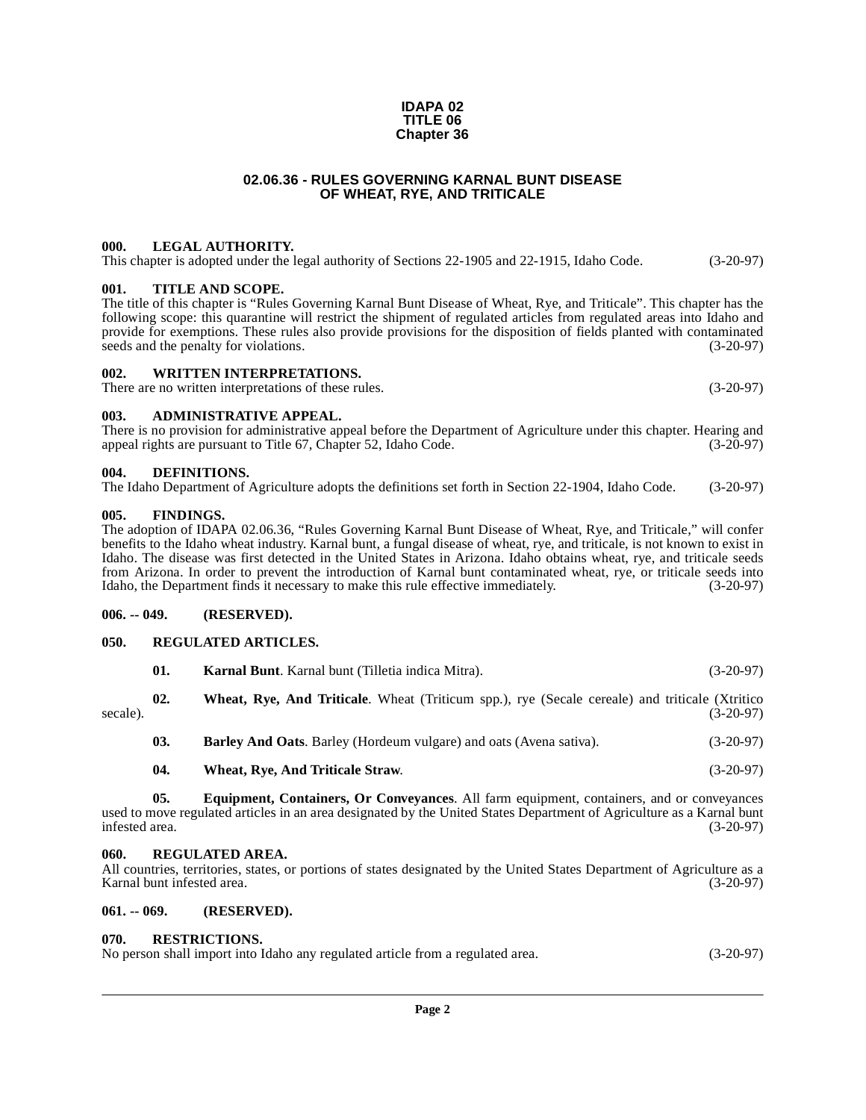#### **IDAPA 02 TITLE 06 Chapter 36**

#### **02.06.36 - RULES GOVERNING KARNAL BUNT DISEASE OF WHEAT, RYE, AND TRITICALE**

#### <span id="page-1-1"></span><span id="page-1-0"></span>**000. LEGAL AUTHORITY.**

#### This chapter is adopted under the legal authority of Sections 22-1905 and 22-1915, Idaho Code. (3-20-97)

#### <span id="page-1-2"></span>**001. TITLE AND SCOPE.**

The title of this chapter is "Rules Governing Karnal Bunt Disease of Wheat, Rye, and Triticale". This chapter has the following scope: this quarantine will restrict the shipment of regulated articles from regulated areas into Idaho and provide for exemptions. These rules also provide provisions for the disposition of fields planted with contaminated seeds and the penalty for violations. (3-20-97)

#### <span id="page-1-3"></span>**002. WRITTEN INTERPRETATIONS.**

There are no written interpretations of these rules. (3-20-97)

#### <span id="page-1-4"></span>**003. ADMINISTRATIVE APPEAL.**

There is no provision for administrative appeal before the Department of Agriculture under this chapter. Hearing and appeal rights are pursuant to Title 67, Chapter 52, Idaho Code. (3-20-97) appeal rights are pursuant to Title 67, Chapter 52, Idaho Code.

#### <span id="page-1-13"></span><span id="page-1-5"></span>**004. DEFINITIONS.**

The Idaho Department of Agriculture adopts the definitions set forth in Section 22-1904, Idaho Code. (3-20-97)

#### <span id="page-1-15"></span><span id="page-1-6"></span>**005. FINDINGS.**

The adoption of IDAPA 02.06.36, "Rules Governing Karnal Bunt Disease of Wheat, Rye, and Triticale," will confer benefits to the Idaho wheat industry. Karnal bunt, a fungal disease of wheat, rye, and triticale, is not known to exist in Idaho. The disease was first detected in the United States in Arizona. Idaho obtains wheat, rye, and triticale seeds from Arizona. In order to prevent the introduction of Karnal bunt contaminated wheat, rye, or triticale seeds into Idaho, the Department finds it necessary to make this rule effective immediately. (3-20-97)

#### <span id="page-1-7"></span>**006. -- 049. (RESERVED).**

#### <span id="page-1-18"></span><span id="page-1-8"></span>**050. REGULATED ARTICLES.**

<span id="page-1-20"></span><span id="page-1-16"></span><span id="page-1-12"></span>

|          | 01. | <b>Karnal Bunt.</b> Karnal bunt (Tilletia indica Mitra).                                       | $(3-20-97)$ |
|----------|-----|------------------------------------------------------------------------------------------------|-------------|
| secale). | 02. | Wheat, Rye, And Triticale. Wheat (Triticum spp.), rye (Secale cereale) and triticale (Xtritico | $(3-20-97)$ |
|          | 03. | <b>Barley And Oats.</b> Barley (Hordeum vulgare) and oats (Avena sativa).                      | $(3-20-97)$ |
|          | 04. | Wheat, Rye, And Triticale Straw.                                                               | $(3-20-97)$ |
|          |     |                                                                                                |             |

<span id="page-1-21"></span><span id="page-1-14"></span>**05. Equipment, Containers, Or Conveyances**. All farm equipment, containers, and or conveyances used to move regulated articles in an area designated by the United States Department of Agriculture as a Karnal bunt infested area. (3-20-97)

#### <span id="page-1-17"></span><span id="page-1-9"></span>**060. REGULATED AREA.**

All countries, territories, states, or portions of states designated by the United States Department of Agriculture as a Karnal bunt infested area. (3-20-97)

#### <span id="page-1-10"></span>**061. -- 069. (RESERVED).**

#### <span id="page-1-19"></span><span id="page-1-11"></span>**070. RESTRICTIONS.**

| No person shall import into Idaho any regulated article from a regulated area. | $(3-20-97)$ |
|--------------------------------------------------------------------------------|-------------|
|--------------------------------------------------------------------------------|-------------|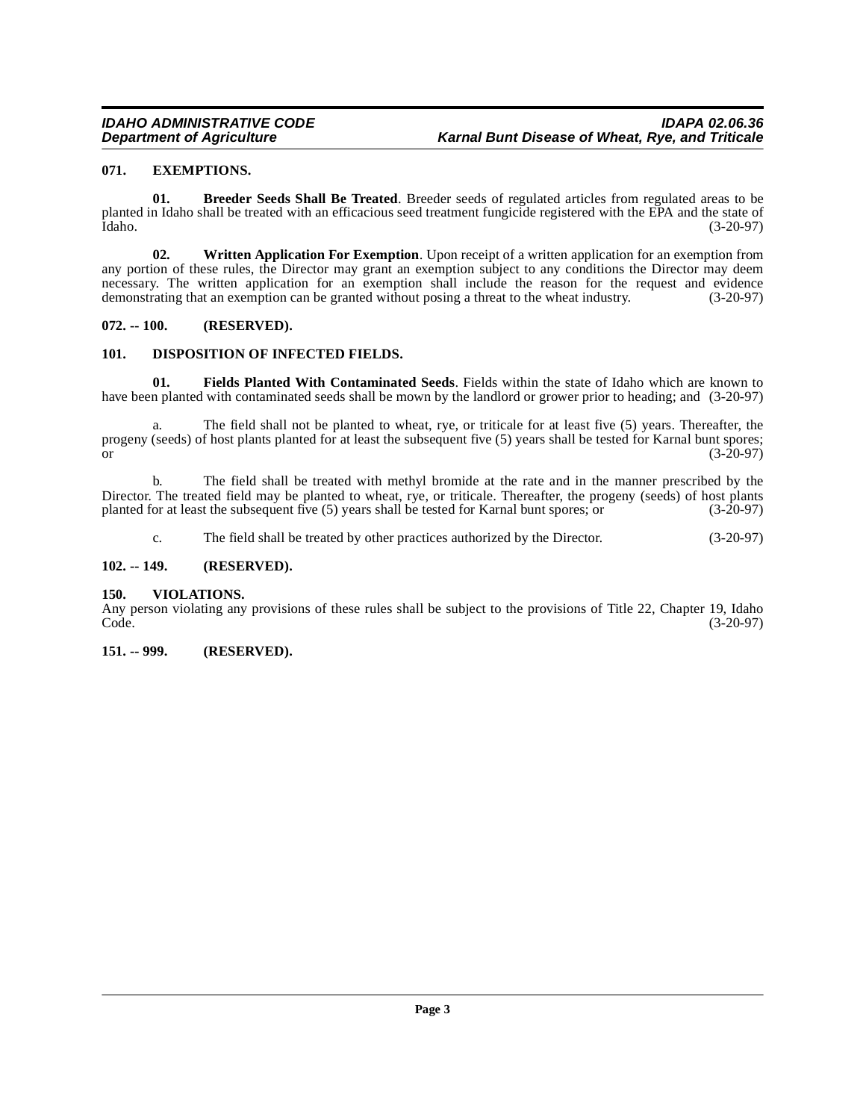#### <span id="page-2-8"></span><span id="page-2-0"></span>**071. EXEMPTIONS.**

<span id="page-2-6"></span>**01. Breeder Seeds Shall Be Treated**. Breeder seeds of regulated articles from regulated areas to be planted in Idaho shall be treated with an efficacious seed treatment fungicide registered with the EPA and the state of Idaho. (3-20-97)

<span id="page-2-11"></span>**02. Written Application For Exemption**. Upon receipt of a written application for an exemption from any portion of these rules, the Director may grant an exemption subject to any conditions the Director may deem necessary. The written application for an exemption shall include the reason for the request and evidence demonstrating that an exemption can be granted without posing a threat to the wheat industry. (3-20-97)

#### <span id="page-2-1"></span>**072. -- 100. (RESERVED).**

#### <span id="page-2-7"></span><span id="page-2-2"></span>**101. DISPOSITION OF INFECTED FIELDS.**

<span id="page-2-9"></span>**01. Fields Planted With Contaminated Seeds**. Fields within the state of Idaho which are known to have been planted with contaminated seeds shall be mown by the landlord or grower prior to heading; and (3-20-97)

a. The field shall not be planted to wheat, rye, or triticale for at least five (5) years. Thereafter, the progeny (seeds) of host plants planted for at least the subsequent five (5) years shall be tested for Karnal bunt spores;<br>(3-20-97) or  $(3-20-97)$ 

b. The field shall be treated with methyl bromide at the rate and in the manner prescribed by the Director. The treated field may be planted to wheat, rye, or triticale. Thereafter, the progeny (seeds) of host plants planted for at least the subsequent five (5) years shall be tested for Karnal bunt spores; or (3-20-97)

<span id="page-2-10"></span>c. The field shall be treated by other practices authorized by the Director. (3-20-97)

#### <span id="page-2-3"></span>**102. -- 149. (RESERVED).**

#### <span id="page-2-4"></span>**150. VIOLATIONS.**

Any person violating any provisions of these rules shall be subject to the provisions of Title 22, Chapter 19, Idaho Code. (3-20-97) Code. (3-20-97)

#### <span id="page-2-5"></span>**151. -- 999. (RESERVED).**